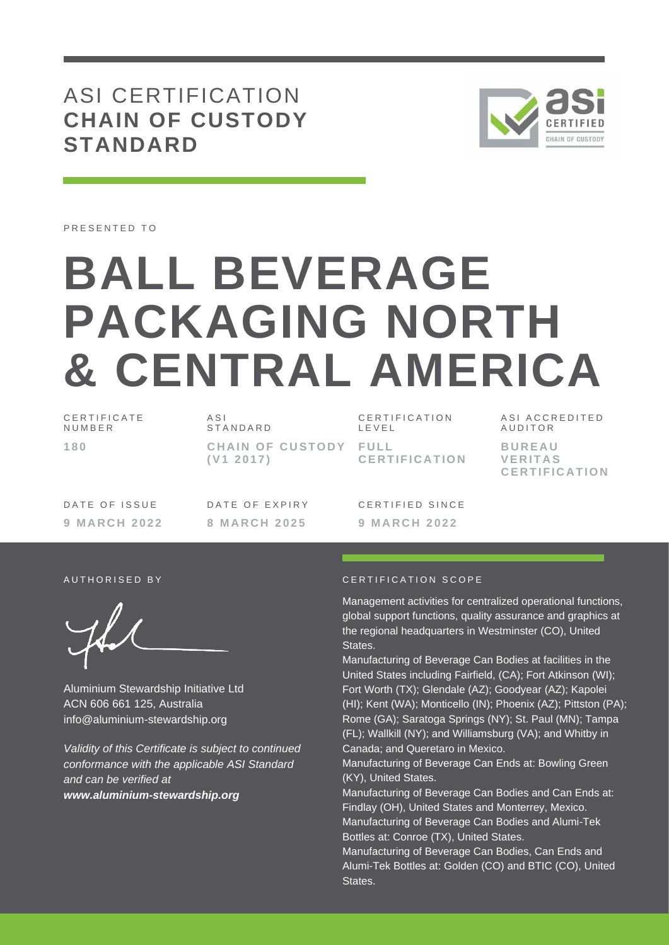# ASI CERTIFICATION **CHAIN OF CUSTODY STANDARD**



PRESENTED TO

# **BALL BEVERAGE PACKAGING NORTH & CENTRAL AMERICA**

C E R T I F I C A T E **NUMBER 1 8 0**

 $\triangle$  S I **STANDARD CHAIN OF CUSTODY FULL ( V1 2 0 1 7 )**

C E R T I F I C A T I O N L E V E L **C E R T I F I C A T I O N** A S I A C C R E D I T F D **AUDITOR B U R E A U V E R I T A S C E R T I F I C A T I O N**

DATE OF ISSUE **9 M A R C H 2 0 2 2** DATE OF EXPIRY **8 M A R C H 2 0 2 5**

CERTIFIED SINCE **9 M A R C H 2 0 2 2**

Aluminium Stewardship Initiative Ltd ACN 606 661 125, Australia info@aluminium-stewardship.org

*Validity of this Certificate is subject to continued conformance with the applicable ASI Standard and can be verified at www.aluminium-stewardship.org*

#### A U T HORISED BY A THE RESERVED AND THE CERTIFICATION SCOPE

Management activities for centralized operational functions, global support functions, quality assurance and graphics at the regional headquarters in Westminster (CO), United **States** 

Manufacturing of Beverage Can Bodies at facilities in the United States including Fairfield, (CA); Fort Atkinson (WI); Fort Worth (TX); Glendale (AZ); Goodyear (AZ); Kapolei (HI); Kent (WA); Monticello (IN); Phoenix (AZ); Pittston (PA); Rome (GA); Saratoga Springs (NY); St. Paul (MN); Tampa (FL); Wallkill (NY); and Williamsburg (VA); and Whitby in Canada; and Queretaro in Mexico.

Manufacturing of Beverage Can Ends at: Bowling Green (KY), United States.

Manufacturing of Beverage Can Bodies and Can Ends at: Findlay (OH), United States and Monterrey, Mexico. Manufacturing of Beverage Can Bodies and Alumi-Tek Bottles at: Conroe (TX), United States.

Manufacturing of Beverage Can Bodies, Can Ends and Alumi-Tek Bottles at: Golden (CO) and BTIC (CO), United States.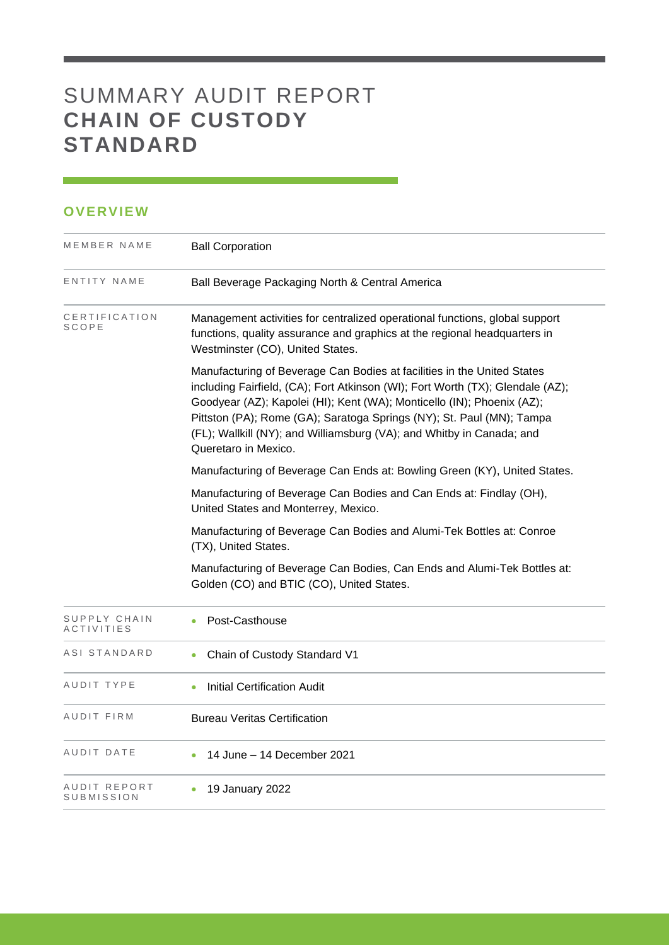# SUMMARY AUDIT REPORT **CHAIN OF CUSTODY STANDARD**

## **OVERVIEW**

| MEMBER NAME                       | <b>Ball Corporation</b>                                                                                                                                                                                                                                                                                                                                                                                       |
|-----------------------------------|---------------------------------------------------------------------------------------------------------------------------------------------------------------------------------------------------------------------------------------------------------------------------------------------------------------------------------------------------------------------------------------------------------------|
| ENTITY NAME                       | Ball Beverage Packaging North & Central America                                                                                                                                                                                                                                                                                                                                                               |
| CERTIFICATION<br><b>SCOPE</b>     | Management activities for centralized operational functions, global support<br>functions, quality assurance and graphics at the regional headquarters in<br>Westminster (CO), United States.                                                                                                                                                                                                                  |
|                                   | Manufacturing of Beverage Can Bodies at facilities in the United States<br>including Fairfield, (CA); Fort Atkinson (WI); Fort Worth (TX); Glendale (AZ);<br>Goodyear (AZ); Kapolei (HI); Kent (WA); Monticello (IN); Phoenix (AZ);<br>Pittston (PA); Rome (GA); Saratoga Springs (NY); St. Paul (MN); Tampa<br>(FL); Wallkill (NY); and Williamsburg (VA); and Whitby in Canada; and<br>Queretaro in Mexico. |
|                                   | Manufacturing of Beverage Can Ends at: Bowling Green (KY), United States.                                                                                                                                                                                                                                                                                                                                     |
|                                   | Manufacturing of Beverage Can Bodies and Can Ends at: Findlay (OH),<br>United States and Monterrey, Mexico.                                                                                                                                                                                                                                                                                                   |
|                                   | Manufacturing of Beverage Can Bodies and Alumi-Tek Bottles at: Conroe<br>(TX), United States.                                                                                                                                                                                                                                                                                                                 |
|                                   | Manufacturing of Beverage Can Bodies, Can Ends and Alumi-Tek Bottles at:<br>Golden (CO) and BTIC (CO), United States.                                                                                                                                                                                                                                                                                         |
| SUPPLY CHAIN<br><b>ACTIVITIES</b> | Post-Casthouse                                                                                                                                                                                                                                                                                                                                                                                                |
| ASI STANDARD                      | Chain of Custody Standard V1                                                                                                                                                                                                                                                                                                                                                                                  |
| AUDIT TYPE                        | <b>Initial Certification Audit</b><br>$\bullet$                                                                                                                                                                                                                                                                                                                                                               |
| AUDIT FIRM                        | <b>Bureau Veritas Certification</b>                                                                                                                                                                                                                                                                                                                                                                           |
| AUDIT DATE                        | 14 June – 14 December 2021                                                                                                                                                                                                                                                                                                                                                                                    |
| AUDIT REPORT<br>SUBMISSION        | 19 January 2022                                                                                                                                                                                                                                                                                                                                                                                               |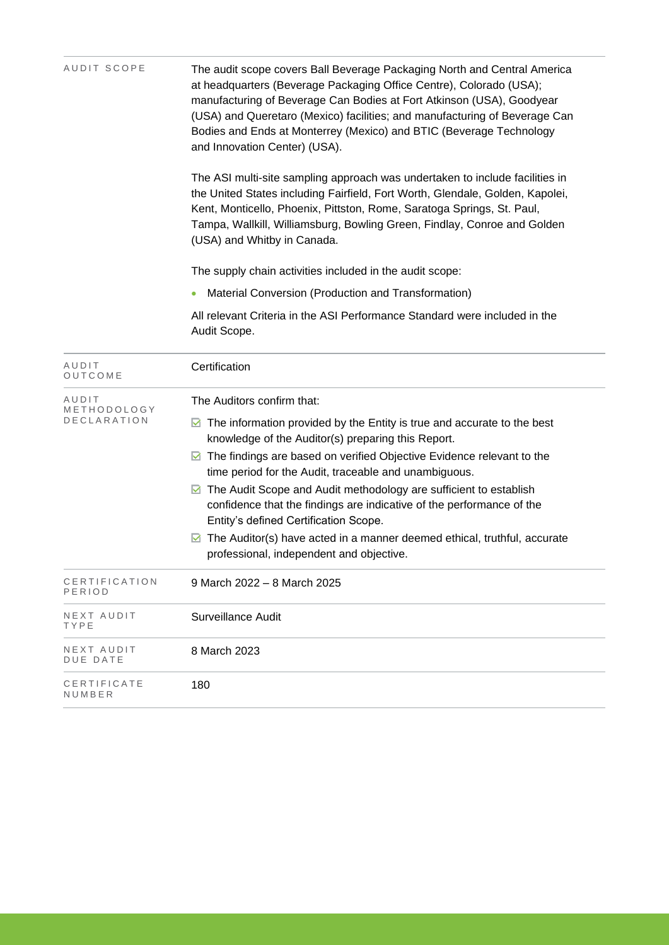| AUDIT SCOPE                         | The audit scope covers Ball Beverage Packaging North and Central America<br>at headquarters (Beverage Packaging Office Centre), Colorado (USA);<br>manufacturing of Beverage Can Bodies at Fort Atkinson (USA), Goodyear<br>(USA) and Queretaro (Mexico) facilities; and manufacturing of Beverage Can<br>Bodies and Ends at Monterrey (Mexico) and BTIC (Beverage Technology<br>and Innovation Center) (USA). |  |  |  |
|-------------------------------------|----------------------------------------------------------------------------------------------------------------------------------------------------------------------------------------------------------------------------------------------------------------------------------------------------------------------------------------------------------------------------------------------------------------|--|--|--|
|                                     | The ASI multi-site sampling approach was undertaken to include facilities in<br>the United States including Fairfield, Fort Worth, Glendale, Golden, Kapolei,<br>Kent, Monticello, Phoenix, Pittston, Rome, Saratoga Springs, St. Paul,<br>Tampa, Wallkill, Williamsburg, Bowling Green, Findlay, Conroe and Golden<br>(USA) and Whitby in Canada.                                                             |  |  |  |
|                                     | The supply chain activities included in the audit scope:                                                                                                                                                                                                                                                                                                                                                       |  |  |  |
|                                     | Material Conversion (Production and Transformation)                                                                                                                                                                                                                                                                                                                                                            |  |  |  |
|                                     | All relevant Criteria in the ASI Performance Standard were included in the<br>Audit Scope.                                                                                                                                                                                                                                                                                                                     |  |  |  |
| AUDIT<br>OUTCOME                    | Certification                                                                                                                                                                                                                                                                                                                                                                                                  |  |  |  |
| AUDIT<br>METHODOLOGY<br>DECLARATION | The Auditors confirm that:                                                                                                                                                                                                                                                                                                                                                                                     |  |  |  |
|                                     | $\blacksquare$ The information provided by the Entity is true and accurate to the best<br>knowledge of the Auditor(s) preparing this Report.                                                                                                                                                                                                                                                                   |  |  |  |
|                                     | $\blacksquare$ The findings are based on verified Objective Evidence relevant to the<br>time period for the Audit, traceable and unambiguous.                                                                                                                                                                                                                                                                  |  |  |  |
|                                     | ◘ The Audit Scope and Audit methodology are sufficient to establish<br>confidence that the findings are indicative of the performance of the<br>Entity's defined Certification Scope.                                                                                                                                                                                                                          |  |  |  |
|                                     | $\boxtimes$ The Auditor(s) have acted in a manner deemed ethical, truthful, accurate<br>professional, independent and objective.                                                                                                                                                                                                                                                                               |  |  |  |
| CERTIFICATION<br>PERIOD             | 9 March 2022 - 8 March 2025                                                                                                                                                                                                                                                                                                                                                                                    |  |  |  |
| NEXT AUDIT<br>TYPE                  | <b>Surveillance Audit</b>                                                                                                                                                                                                                                                                                                                                                                                      |  |  |  |
| NEXT AUDIT<br><b>DUE DATE</b>       | 8 March 2023                                                                                                                                                                                                                                                                                                                                                                                                   |  |  |  |
| CERTIFICATE<br>NUMBER               | 180                                                                                                                                                                                                                                                                                                                                                                                                            |  |  |  |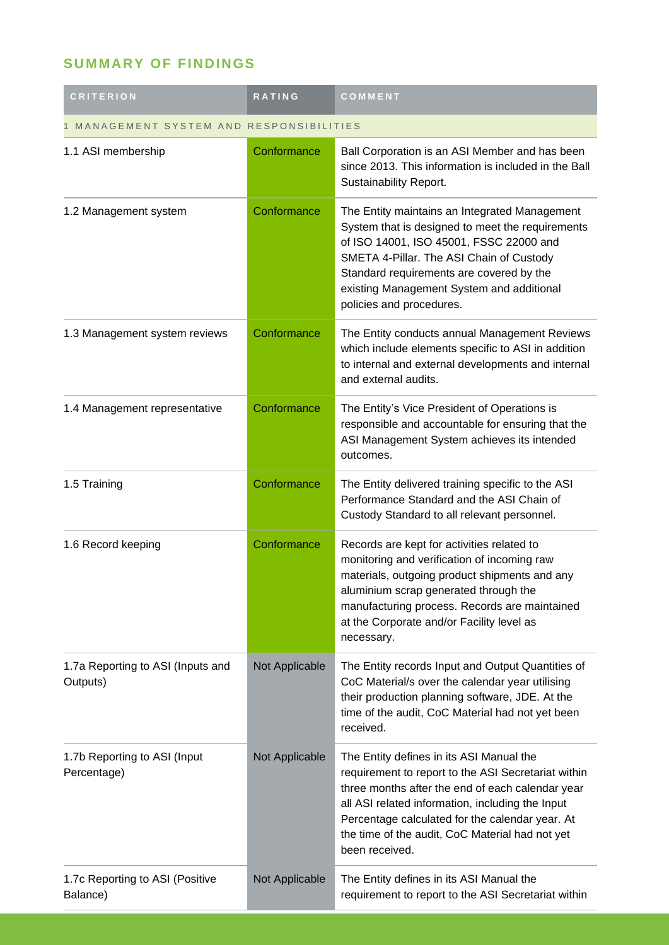## **SUMMARY OF FINDINGS**

| <b>CRITERION</b>                              | <b>RATING</b>  | COMMENT                                                                                                                                                                                                                                                                                                                         |  |
|-----------------------------------------------|----------------|---------------------------------------------------------------------------------------------------------------------------------------------------------------------------------------------------------------------------------------------------------------------------------------------------------------------------------|--|
| MANAGEMENT SYSTEM AND RESPONSIBILITIES        |                |                                                                                                                                                                                                                                                                                                                                 |  |
| 1.1 ASI membership                            | Conformance    | Ball Corporation is an ASI Member and has been<br>since 2013. This information is included in the Ball<br>Sustainability Report.                                                                                                                                                                                                |  |
| 1.2 Management system                         | Conformance    | The Entity maintains an Integrated Management<br>System that is designed to meet the requirements<br>of ISO 14001, ISO 45001, FSSC 22000 and<br>SMETA 4-Pillar. The ASI Chain of Custody<br>Standard requirements are covered by the<br>existing Management System and additional<br>policies and procedures.                   |  |
| 1.3 Management system reviews                 | Conformance    | The Entity conducts annual Management Reviews<br>which include elements specific to ASI in addition<br>to internal and external developments and internal<br>and external audits.                                                                                                                                               |  |
| 1.4 Management representative                 | Conformance    | The Entity's Vice President of Operations is<br>responsible and accountable for ensuring that the<br>ASI Management System achieves its intended<br>outcomes.                                                                                                                                                                   |  |
| 1.5 Training                                  | Conformance    | The Entity delivered training specific to the ASI<br>Performance Standard and the ASI Chain of<br>Custody Standard to all relevant personnel.                                                                                                                                                                                   |  |
| 1.6 Record keeping                            | Conformance    | Records are kept for activities related to<br>monitoring and verification of incoming raw<br>materials, outgoing product shipments and any<br>aluminium scrap generated through the<br>manufacturing process. Records are maintained<br>at the Corporate and/or Facility level as<br>necessary.                                 |  |
| 1.7a Reporting to ASI (Inputs and<br>Outputs) | Not Applicable | The Entity records Input and Output Quantities of<br>CoC Material/s over the calendar year utilising<br>their production planning software, JDE. At the<br>time of the audit, CoC Material had not yet been<br>received.                                                                                                        |  |
| 1.7b Reporting to ASI (Input<br>Percentage)   | Not Applicable | The Entity defines in its ASI Manual the<br>requirement to report to the ASI Secretariat within<br>three months after the end of each calendar year<br>all ASI related information, including the Input<br>Percentage calculated for the calendar year. At<br>the time of the audit, CoC Material had not yet<br>been received. |  |
| 1.7c Reporting to ASI (Positive<br>Balance)   | Not Applicable | The Entity defines in its ASI Manual the<br>requirement to report to the ASI Secretariat within                                                                                                                                                                                                                                 |  |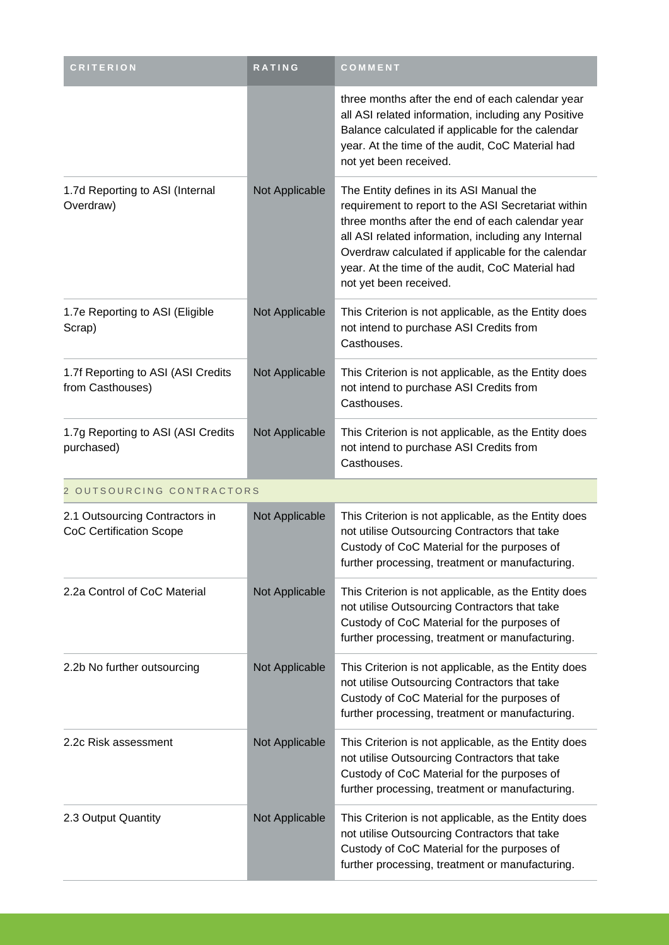| <b>CRITERION</b>                                                 | RATING         | COMMENT                                                                                                                                                                                                                                                                                                                                        |  |
|------------------------------------------------------------------|----------------|------------------------------------------------------------------------------------------------------------------------------------------------------------------------------------------------------------------------------------------------------------------------------------------------------------------------------------------------|--|
|                                                                  |                | three months after the end of each calendar year<br>all ASI related information, including any Positive<br>Balance calculated if applicable for the calendar<br>year. At the time of the audit, CoC Material had<br>not yet been received.                                                                                                     |  |
| 1.7d Reporting to ASI (Internal<br>Overdraw)                     | Not Applicable | The Entity defines in its ASI Manual the<br>requirement to report to the ASI Secretariat within<br>three months after the end of each calendar year<br>all ASI related information, including any Internal<br>Overdraw calculated if applicable for the calendar<br>year. At the time of the audit, CoC Material had<br>not yet been received. |  |
| 1.7e Reporting to ASI (Eligible<br>Scrap)                        | Not Applicable | This Criterion is not applicable, as the Entity does<br>not intend to purchase ASI Credits from<br>Casthouses.                                                                                                                                                                                                                                 |  |
| 1.7f Reporting to ASI (ASI Credits<br>from Casthouses)           | Not Applicable | This Criterion is not applicable, as the Entity does<br>not intend to purchase ASI Credits from<br>Casthouses.                                                                                                                                                                                                                                 |  |
| 1.7g Reporting to ASI (ASI Credits<br>purchased)                 | Not Applicable | This Criterion is not applicable, as the Entity does<br>not intend to purchase ASI Credits from<br>Casthouses.                                                                                                                                                                                                                                 |  |
| 2 OUTSOURCING CONTRACTORS                                        |                |                                                                                                                                                                                                                                                                                                                                                |  |
| 2.1 Outsourcing Contractors in<br><b>CoC Certification Scope</b> | Not Applicable | This Criterion is not applicable, as the Entity does<br>not utilise Outsourcing Contractors that take<br>Custody of CoC Material for the purposes of<br>further processing, treatment or manufacturing.                                                                                                                                        |  |
| 2.2a Control of CoC Material                                     | Not Applicable | This Criterion is not applicable, as the Entity does<br>not utilise Outsourcing Contractors that take<br>Custody of CoC Material for the purposes of<br>further processing, treatment or manufacturing.                                                                                                                                        |  |
| 2.2b No further outsourcing                                      | Not Applicable | This Criterion is not applicable, as the Entity does<br>not utilise Outsourcing Contractors that take<br>Custody of CoC Material for the purposes of<br>further processing, treatment or manufacturing.                                                                                                                                        |  |
| 2.2c Risk assessment                                             | Not Applicable | This Criterion is not applicable, as the Entity does<br>not utilise Outsourcing Contractors that take<br>Custody of CoC Material for the purposes of<br>further processing, treatment or manufacturing.                                                                                                                                        |  |
| 2.3 Output Quantity                                              | Not Applicable | This Criterion is not applicable, as the Entity does<br>not utilise Outsourcing Contractors that take<br>Custody of CoC Material for the purposes of<br>further processing, treatment or manufacturing.                                                                                                                                        |  |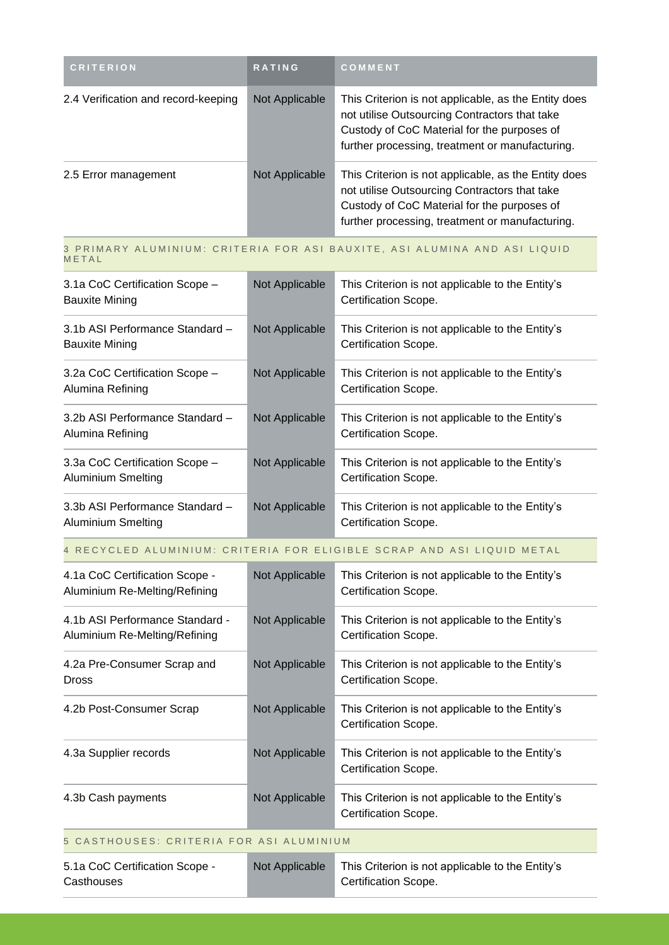| <b>CRITERION</b>                    | <b>RATING</b>  | <b>COMMENT</b>                                                                                                                                                                                          |
|-------------------------------------|----------------|---------------------------------------------------------------------------------------------------------------------------------------------------------------------------------------------------------|
| 2.4 Verification and record-keeping | Not Applicable | This Criterion is not applicable, as the Entity does<br>not utilise Outsourcing Contractors that take<br>Custody of CoC Material for the purposes of<br>further processing, treatment or manufacturing. |
| 2.5 Error management                | Not Applicable | This Criterion is not applicable, as the Entity does<br>not utilise Outsourcing Contractors that take<br>Custody of CoC Material for the purposes of<br>further processing, treatment or manufacturing. |

#### 3 PRIMARY ALUMINIUM: CRITERIA FOR ASI BAUXITE, ASI ALUMINA AND ASI LIQUID **METAL**

| 3.1a CoC Certification Scope -<br><b>Bauxite Mining</b> | Not Applicable | This Criterion is not applicable to the Entity's<br>Certification Scope. |
|---------------------------------------------------------|----------------|--------------------------------------------------------------------------|
| 3.1b ASI Performance Standard -<br>Bauxite Mining       | Not Applicable | This Criterion is not applicable to the Entity's<br>Certification Scope. |
| 3.2a CoC Certification Scope -<br>Alumina Refining      | Not Applicable | This Criterion is not applicable to the Entity's<br>Certification Scope. |
| 3.2b ASI Performance Standard -<br>Alumina Refining     | Not Applicable | This Criterion is not applicable to the Entity's<br>Certification Scope. |
| 3.3a CoC Certification Scope -<br>Aluminium Smelting    | Not Applicable | This Criterion is not applicable to the Entity's<br>Certification Scope. |
| 3.3b ASI Performance Standard -<br>Aluminium Smelting   | Not Applicable | This Criterion is not applicable to the Entity's<br>Certification Scope. |

4 RECYCLED ALUMINIUM: CRITERIA FOR ELIGIBLE SCRAP AND ASI LIQUID METAL

| 4.1a CoC Certification Scope -<br>Aluminium Re-Melting/Refining  | Not Applicable | This Criterion is not applicable to the Entity's<br>Certification Scope. |  |
|------------------------------------------------------------------|----------------|--------------------------------------------------------------------------|--|
| 4.1b ASI Performance Standard -<br>Aluminium Re-Melting/Refining | Not Applicable | This Criterion is not applicable to the Entity's<br>Certification Scope. |  |
| 4.2a Pre-Consumer Scrap and<br><b>Dross</b>                      | Not Applicable | This Criterion is not applicable to the Entity's<br>Certification Scope. |  |
| 4.2b Post-Consumer Scrap                                         | Not Applicable | This Criterion is not applicable to the Entity's<br>Certification Scope. |  |
| 4.3a Supplier records                                            | Not Applicable | This Criterion is not applicable to the Entity's<br>Certification Scope. |  |
| 4.3b Cash payments                                               | Not Applicable | This Criterion is not applicable to the Entity's<br>Certification Scope. |  |
| 5 CASTHOUSES: CRITERIA FOR ASI ALUMINIUM                         |                |                                                                          |  |
| 5.1a CoC Certification Scope -<br>Casthouses                     | Not Applicable | This Criterion is not applicable to the Entity's<br>Certification Scope. |  |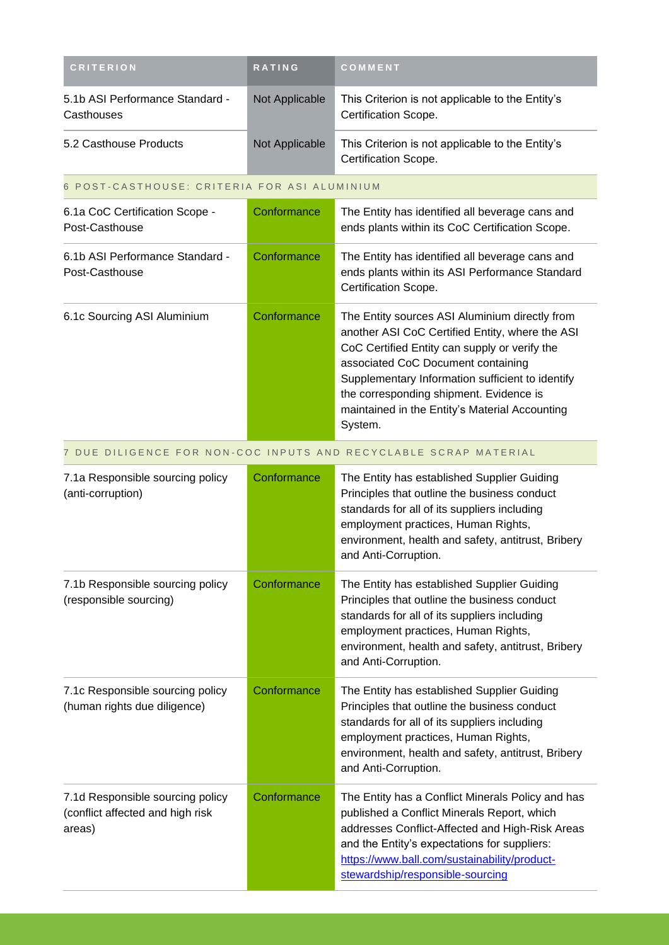| <b>CRITERION</b>                                                               | <b>RATING</b>  | COMMENT                                                                                                                                                                                                                                                                                                                                              |
|--------------------------------------------------------------------------------|----------------|------------------------------------------------------------------------------------------------------------------------------------------------------------------------------------------------------------------------------------------------------------------------------------------------------------------------------------------------------|
| 5.1b ASI Performance Standard -<br>Casthouses                                  | Not Applicable | This Criterion is not applicable to the Entity's<br>Certification Scope.                                                                                                                                                                                                                                                                             |
| 5.2 Casthouse Products                                                         | Not Applicable | This Criterion is not applicable to the Entity's<br>Certification Scope.                                                                                                                                                                                                                                                                             |
| POST-CASTHOUSE: CRITERIA FOR ASI ALUMINIUM<br>6                                |                |                                                                                                                                                                                                                                                                                                                                                      |
| 6.1a CoC Certification Scope -<br>Post-Casthouse                               | Conformance    | The Entity has identified all beverage cans and<br>ends plants within its CoC Certification Scope.                                                                                                                                                                                                                                                   |
| 6.1b ASI Performance Standard -<br>Post-Casthouse                              | Conformance    | The Entity has identified all beverage cans and<br>ends plants within its ASI Performance Standard<br>Certification Scope.                                                                                                                                                                                                                           |
| 6.1c Sourcing ASI Aluminium                                                    | Conformance    | The Entity sources ASI Aluminium directly from<br>another ASI CoC Certified Entity, where the ASI<br>CoC Certified Entity can supply or verify the<br>associated CoC Document containing<br>Supplementary Information sufficient to identify<br>the corresponding shipment. Evidence is<br>maintained in the Entity's Material Accounting<br>System. |
|                                                                                |                | 7 DUE DILIGENCE FOR NON-COC INPUTS AND RECYCLABLE SCRAP MATERIAL                                                                                                                                                                                                                                                                                     |
| 7.1a Responsible sourcing policy<br>(anti-corruption)                          | Conformance    | The Entity has established Supplier Guiding<br>Principles that outline the business conduct<br>standards for all of its suppliers including<br>employment practices, Human Rights,<br>environment, health and safety, antitrust, Bribery<br>and Anti-Corruption.                                                                                     |
| 7.1b Responsible sourcing policy<br>(responsible sourcing)                     | Conformance    | The Entity has established Supplier Guiding<br>Principles that outline the business conduct<br>standards for all of its suppliers including<br>employment practices, Human Rights,<br>environment, health and safety, antitrust, Bribery<br>and Anti-Corruption.                                                                                     |
| 7.1c Responsible sourcing policy<br>(human rights due diligence)               | Conformance    | The Entity has established Supplier Guiding<br>Principles that outline the business conduct<br>standards for all of its suppliers including<br>employment practices, Human Rights,<br>environment, health and safety, antitrust, Bribery<br>and Anti-Corruption.                                                                                     |
| 7.1d Responsible sourcing policy<br>(conflict affected and high risk<br>areas) | Conformance    | The Entity has a Conflict Minerals Policy and has<br>published a Conflict Minerals Report, which<br>addresses Conflict-Affected and High-Risk Areas<br>and the Entity's expectations for suppliers:<br>https://www.ball.com/sustainability/product-<br>stewardship/responsible-sourcing                                                              |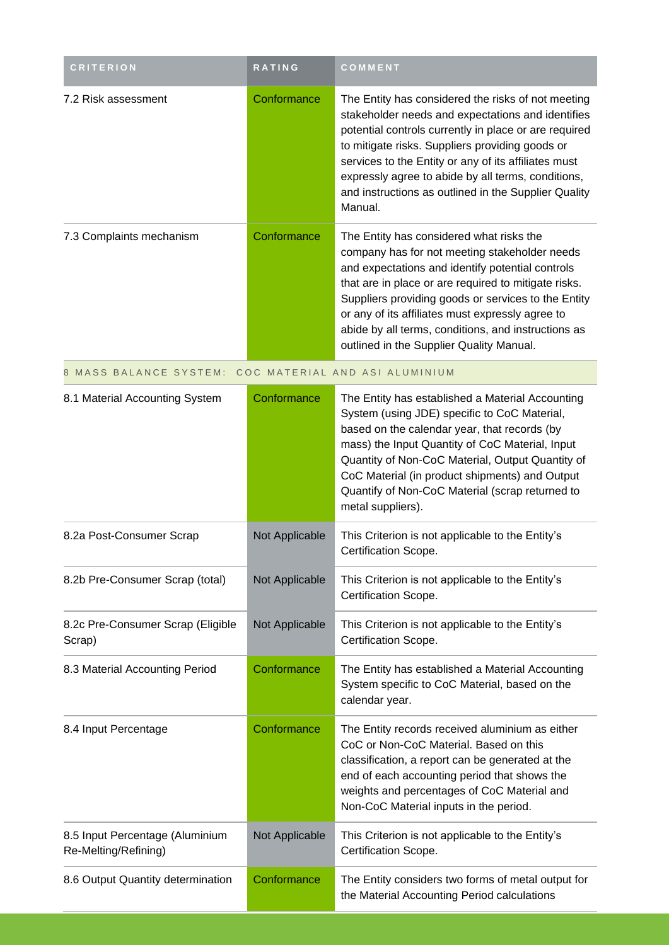| <b>CRITERION</b>                                        | <b>RATING</b>  | COMMENT                                                                                                                                                                                                                                                                                                                                                                                                             |
|---------------------------------------------------------|----------------|---------------------------------------------------------------------------------------------------------------------------------------------------------------------------------------------------------------------------------------------------------------------------------------------------------------------------------------------------------------------------------------------------------------------|
| 7.2 Risk assessment                                     | Conformance    | The Entity has considered the risks of not meeting<br>stakeholder needs and expectations and identifies<br>potential controls currently in place or are required<br>to mitigate risks. Suppliers providing goods or<br>services to the Entity or any of its affiliates must<br>expressly agree to abide by all terms, conditions,<br>and instructions as outlined in the Supplier Quality<br>Manual.                |
| 7.3 Complaints mechanism                                | Conformance    | The Entity has considered what risks the<br>company has for not meeting stakeholder needs<br>and expectations and identify potential controls<br>that are in place or are required to mitigate risks.<br>Suppliers providing goods or services to the Entity<br>or any of its affiliates must expressly agree to<br>abide by all terms, conditions, and instructions as<br>outlined in the Supplier Quality Manual. |
| MASS BALANCE SYSTEM: COC MATERIAL AND ASI ALUMINIUM     |                |                                                                                                                                                                                                                                                                                                                                                                                                                     |
| 8.1 Material Accounting System                          | Conformance    | The Entity has established a Material Accounting<br>System (using JDE) specific to CoC Material,<br>based on the calendar year, that records (by<br>mass) the Input Quantity of CoC Material, Input<br>Quantity of Non-CoC Material, Output Quantity of<br>CoC Material (in product shipments) and Output<br>Quantify of Non-CoC Material (scrap returned to<br>metal suppliers).                                   |
| 8.2a Post-Consumer Scrap                                | Not Applicable | This Criterion is not applicable to the Entity's<br>Certification Scope.                                                                                                                                                                                                                                                                                                                                            |
| 8.2b Pre-Consumer Scrap (total)                         | Not Applicable | This Criterion is not applicable to the Entity's<br>Certification Scope.                                                                                                                                                                                                                                                                                                                                            |
| 8.2c Pre-Consumer Scrap (Eligible<br>Scrap)             | Not Applicable | This Criterion is not applicable to the Entity's<br>Certification Scope.                                                                                                                                                                                                                                                                                                                                            |
| 8.3 Material Accounting Period                          | Conformance    | The Entity has established a Material Accounting<br>System specific to CoC Material, based on the<br>calendar year.                                                                                                                                                                                                                                                                                                 |
| 8.4 Input Percentage                                    | Conformance    | The Entity records received aluminium as either<br>CoC or Non-CoC Material. Based on this<br>classification, a report can be generated at the<br>end of each accounting period that shows the<br>weights and percentages of CoC Material and<br>Non-CoC Material inputs in the period.                                                                                                                              |
| 8.5 Input Percentage (Aluminium<br>Re-Melting/Refining) | Not Applicable | This Criterion is not applicable to the Entity's<br>Certification Scope.                                                                                                                                                                                                                                                                                                                                            |
| 8.6 Output Quantity determination                       | Conformance    | The Entity considers two forms of metal output for<br>the Material Accounting Period calculations                                                                                                                                                                                                                                                                                                                   |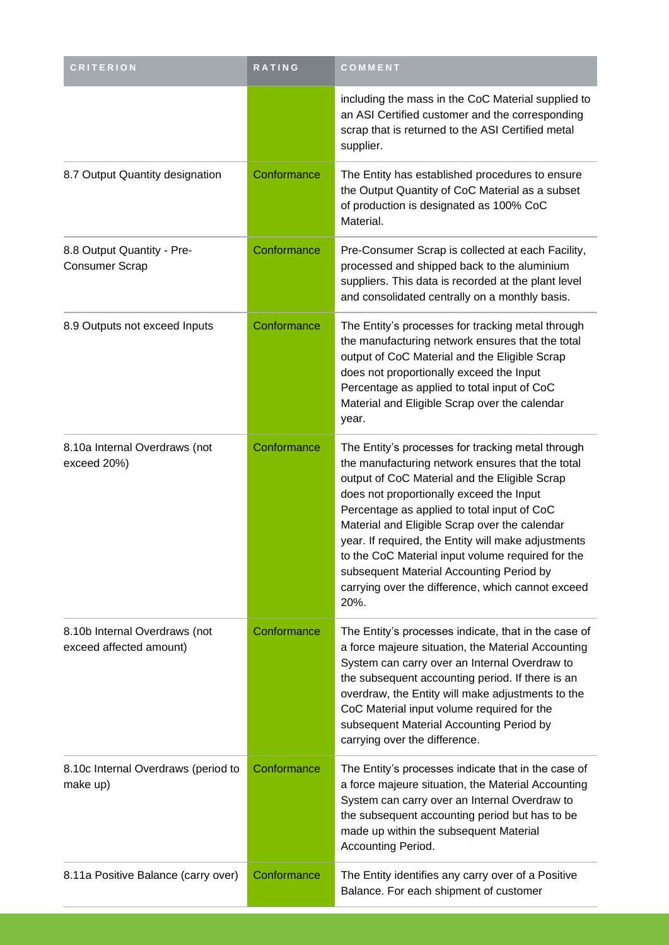| <b>CRITERION</b>                                         | RATING      | COMMENT                                                                                                                                                                                                                                                                                                                                                                                                                                                                                                                 |
|----------------------------------------------------------|-------------|-------------------------------------------------------------------------------------------------------------------------------------------------------------------------------------------------------------------------------------------------------------------------------------------------------------------------------------------------------------------------------------------------------------------------------------------------------------------------------------------------------------------------|
|                                                          |             | including the mass in the CoC Material supplied to<br>an ASI Certified customer and the corresponding<br>scrap that is returned to the ASI Certified metal<br>supplier.                                                                                                                                                                                                                                                                                                                                                 |
| 8.7 Output Quantity designation                          | Conformance | The Entity has established procedures to ensure<br>the Output Quantity of CoC Material as a subset<br>of production is designated as 100% CoC<br>Material.                                                                                                                                                                                                                                                                                                                                                              |
| 8.8 Output Quantity - Pre-<br><b>Consumer Scrap</b>      | Conformance | Pre-Consumer Scrap is collected at each Facility,<br>processed and shipped back to the aluminium<br>suppliers. This data is recorded at the plant level<br>and consolidated centrally on a monthly basis.                                                                                                                                                                                                                                                                                                               |
| 8.9 Outputs not exceed Inputs                            | Conformance | The Entity's processes for tracking metal through<br>the manufacturing network ensures that the total<br>output of CoC Material and the Eligible Scrap<br>does not proportionally exceed the Input<br>Percentage as applied to total input of CoC<br>Material and Eligible Scrap over the calendar<br>year.                                                                                                                                                                                                             |
| 8.10a Internal Overdraws (not<br>exceed 20%)             | Conformance | The Entity's processes for tracking metal through<br>the manufacturing network ensures that the total<br>output of CoC Material and the Eligible Scrap<br>does not proportionally exceed the Input<br>Percentage as applied to total input of CoC<br>Material and Eligible Scrap over the calendar<br>year. If required, the Entity will make adjustments<br>to the CoC Material input volume required for the<br>subsequent Material Accounting Period by<br>carrying over the difference, which cannot exceed<br>20%. |
| 8.10b Internal Overdraws (not<br>exceed affected amount) | Conformance | The Entity's processes indicate, that in the case of<br>a force majeure situation, the Material Accounting<br>System can carry over an Internal Overdraw to<br>the subsequent accounting period. If there is an<br>overdraw, the Entity will make adjustments to the<br>CoC Material input volume required for the<br>subsequent Material Accounting Period by<br>carrying over the difference.                                                                                                                         |
| 8.10c Internal Overdraws (period to<br>make up)          | Conformance | The Entity's processes indicate that in the case of<br>a force majeure situation, the Material Accounting<br>System can carry over an Internal Overdraw to<br>the subsequent accounting period but has to be<br>made up within the subsequent Material<br>Accounting Period.                                                                                                                                                                                                                                            |
| 8.11a Positive Balance (carry over)                      | Conformance | The Entity identifies any carry over of a Positive<br>Balance. For each shipment of customer                                                                                                                                                                                                                                                                                                                                                                                                                            |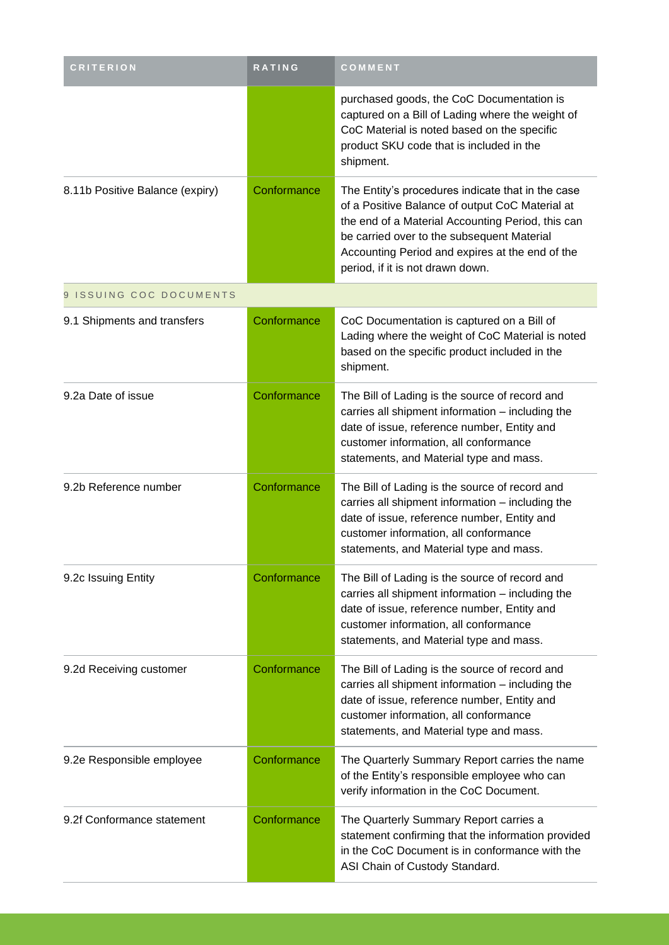| <b>CRITERION</b>                | RATING      | COMMENT                                                                                                                                                                                                                                                                                        |
|---------------------------------|-------------|------------------------------------------------------------------------------------------------------------------------------------------------------------------------------------------------------------------------------------------------------------------------------------------------|
|                                 |             | purchased goods, the CoC Documentation is<br>captured on a Bill of Lading where the weight of<br>CoC Material is noted based on the specific<br>product SKU code that is included in the<br>shipment.                                                                                          |
| 8.11b Positive Balance (expiry) | Conformance | The Entity's procedures indicate that in the case<br>of a Positive Balance of output CoC Material at<br>the end of a Material Accounting Period, this can<br>be carried over to the subsequent Material<br>Accounting Period and expires at the end of the<br>period, if it is not drawn down. |
| 9 ISSUING COC DOCUMENTS         |             |                                                                                                                                                                                                                                                                                                |
| 9.1 Shipments and transfers     | Conformance | CoC Documentation is captured on a Bill of<br>Lading where the weight of CoC Material is noted<br>based on the specific product included in the<br>shipment.                                                                                                                                   |
| 9.2a Date of issue              | Conformance | The Bill of Lading is the source of record and<br>carries all shipment information - including the<br>date of issue, reference number, Entity and<br>customer information, all conformance<br>statements, and Material type and mass.                                                          |
| 9.2b Reference number           | Conformance | The Bill of Lading is the source of record and<br>carries all shipment information - including the<br>date of issue, reference number, Entity and<br>customer information, all conformance<br>statements, and Material type and mass.                                                          |
| 9.2c Issuing Entity             | Conformance | The Bill of Lading is the source of record and<br>carries all shipment information - including the<br>date of issue, reference number, Entity and<br>customer information, all conformance<br>statements, and Material type and mass.                                                          |
| 9.2d Receiving customer         | Conformance | The Bill of Lading is the source of record and<br>carries all shipment information - including the<br>date of issue, reference number, Entity and<br>customer information, all conformance<br>statements, and Material type and mass.                                                          |
| 9.2e Responsible employee       | Conformance | The Quarterly Summary Report carries the name<br>of the Entity's responsible employee who can<br>verify information in the CoC Document.                                                                                                                                                       |
| 9.2f Conformance statement      | Conformance | The Quarterly Summary Report carries a<br>statement confirming that the information provided<br>in the CoC Document is in conformance with the<br>ASI Chain of Custody Standard.                                                                                                               |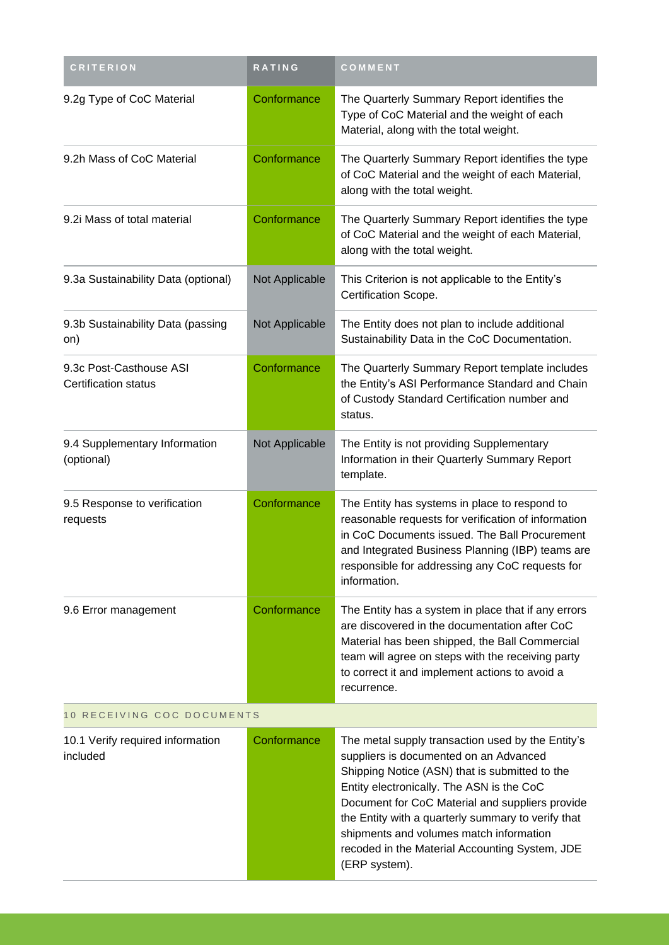| <b>CRITERION</b>                                       | RATING         | COMMENT                                                                                                                                                                                                                                                                                                                                                                                                           |  |
|--------------------------------------------------------|----------------|-------------------------------------------------------------------------------------------------------------------------------------------------------------------------------------------------------------------------------------------------------------------------------------------------------------------------------------------------------------------------------------------------------------------|--|
| 9.2g Type of CoC Material                              | Conformance    | The Quarterly Summary Report identifies the<br>Type of CoC Material and the weight of each<br>Material, along with the total weight.                                                                                                                                                                                                                                                                              |  |
| 9.2h Mass of CoC Material                              | Conformance    | The Quarterly Summary Report identifies the type<br>of CoC Material and the weight of each Material,<br>along with the total weight.                                                                                                                                                                                                                                                                              |  |
| 9.2i Mass of total material                            | Conformance    | The Quarterly Summary Report identifies the type<br>of CoC Material and the weight of each Material,<br>along with the total weight.                                                                                                                                                                                                                                                                              |  |
| 9.3a Sustainability Data (optional)                    | Not Applicable | This Criterion is not applicable to the Entity's<br>Certification Scope.                                                                                                                                                                                                                                                                                                                                          |  |
| 9.3b Sustainability Data (passing<br>on)               | Not Applicable | The Entity does not plan to include additional<br>Sustainability Data in the CoC Documentation.                                                                                                                                                                                                                                                                                                                   |  |
| 9.3c Post-Casthouse ASI<br><b>Certification status</b> | Conformance    | The Quarterly Summary Report template includes<br>the Entity's ASI Performance Standard and Chain<br>of Custody Standard Certification number and<br>status.                                                                                                                                                                                                                                                      |  |
| 9.4 Supplementary Information<br>(optional)            | Not Applicable | The Entity is not providing Supplementary<br>Information in their Quarterly Summary Report<br>template.                                                                                                                                                                                                                                                                                                           |  |
| 9.5 Response to verification<br>requests               | Conformance    | The Entity has systems in place to respond to<br>reasonable requests for verification of information<br>in CoC Documents issued. The Ball Procurement<br>and Integrated Business Planning (IBP) teams are<br>responsible for addressing any CoC requests for<br>information.                                                                                                                                      |  |
| 9.6 Error management                                   | Conformance    | The Entity has a system in place that if any errors<br>are discovered in the documentation after CoC<br>Material has been shipped, the Ball Commercial<br>team will agree on steps with the receiving party<br>to correct it and implement actions to avoid a<br>recurrence.                                                                                                                                      |  |
| 10 RECEIVING COC DOCUMENTS                             |                |                                                                                                                                                                                                                                                                                                                                                                                                                   |  |
| 10.1 Verify required information<br>included           | Conformance    | The metal supply transaction used by the Entity's<br>suppliers is documented on an Advanced<br>Shipping Notice (ASN) that is submitted to the<br>Entity electronically. The ASN is the CoC<br>Document for CoC Material and suppliers provide<br>the Entity with a quarterly summary to verify that<br>shipments and volumes match information<br>recoded in the Material Accounting System, JDE<br>(ERP system). |  |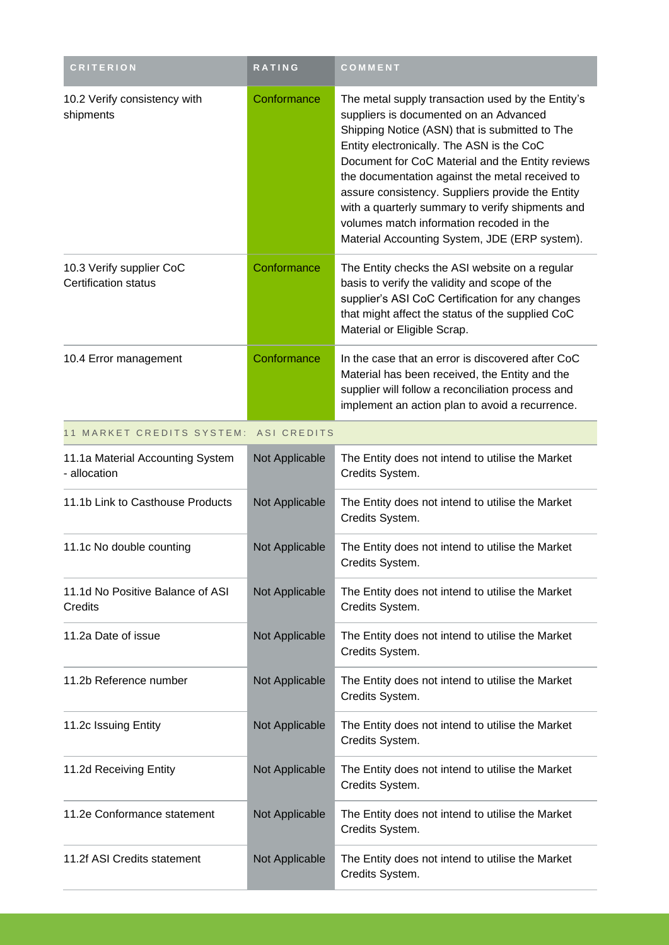| <b>CRITERION</b>                                        | RATING         | COMMENT                                                                                                                                                                                                                                                                                                                                                                                                                                                                                                |
|---------------------------------------------------------|----------------|--------------------------------------------------------------------------------------------------------------------------------------------------------------------------------------------------------------------------------------------------------------------------------------------------------------------------------------------------------------------------------------------------------------------------------------------------------------------------------------------------------|
| 10.2 Verify consistency with<br>shipments               | Conformance    | The metal supply transaction used by the Entity's<br>suppliers is documented on an Advanced<br>Shipping Notice (ASN) that is submitted to The<br>Entity electronically. The ASN is the CoC<br>Document for CoC Material and the Entity reviews<br>the documentation against the metal received to<br>assure consistency. Suppliers provide the Entity<br>with a quarterly summary to verify shipments and<br>volumes match information recoded in the<br>Material Accounting System, JDE (ERP system). |
| 10.3 Verify supplier CoC<br><b>Certification status</b> | Conformance    | The Entity checks the ASI website on a regular<br>basis to verify the validity and scope of the<br>supplier's ASI CoC Certification for any changes<br>that might affect the status of the supplied CoC<br>Material or Eligible Scrap.                                                                                                                                                                                                                                                                 |
| 10.4 Error management                                   | Conformance    | In the case that an error is discovered after CoC<br>Material has been received, the Entity and the<br>supplier will follow a reconciliation process and<br>implement an action plan to avoid a recurrence.                                                                                                                                                                                                                                                                                            |
| 11 MARKET CREDITS SYSTEM:                               | ASI CREDITS    |                                                                                                                                                                                                                                                                                                                                                                                                                                                                                                        |
| 11.1a Material Accounting System<br>- allocation        | Not Applicable | The Entity does not intend to utilise the Market<br>Credits System.                                                                                                                                                                                                                                                                                                                                                                                                                                    |
| 11.1b Link to Casthouse Products                        | Not Applicable | The Entity does not intend to utilise the Market<br>Credits System.                                                                                                                                                                                                                                                                                                                                                                                                                                    |
| 11.1c No double counting                                | Not Applicable | The Entity does not intend to utilise the Market<br>Credits System.                                                                                                                                                                                                                                                                                                                                                                                                                                    |
| 11.1d No Positive Balance of ASI<br>Credits             | Not Applicable | The Entity does not intend to utilise the Market<br>Credits System.                                                                                                                                                                                                                                                                                                                                                                                                                                    |
| 11.2a Date of issue                                     | Not Applicable | The Entity does not intend to utilise the Market<br>Credits System.                                                                                                                                                                                                                                                                                                                                                                                                                                    |
| 11.2b Reference number                                  | Not Applicable | The Entity does not intend to utilise the Market<br>Credits System.                                                                                                                                                                                                                                                                                                                                                                                                                                    |
| 11.2c Issuing Entity                                    | Not Applicable | The Entity does not intend to utilise the Market<br>Credits System.                                                                                                                                                                                                                                                                                                                                                                                                                                    |
| 11.2d Receiving Entity                                  | Not Applicable | The Entity does not intend to utilise the Market<br>Credits System.                                                                                                                                                                                                                                                                                                                                                                                                                                    |
| 11.2e Conformance statement                             | Not Applicable | The Entity does not intend to utilise the Market<br>Credits System.                                                                                                                                                                                                                                                                                                                                                                                                                                    |
| 11.2f ASI Credits statement                             | Not Applicable | The Entity does not intend to utilise the Market<br>Credits System.                                                                                                                                                                                                                                                                                                                                                                                                                                    |